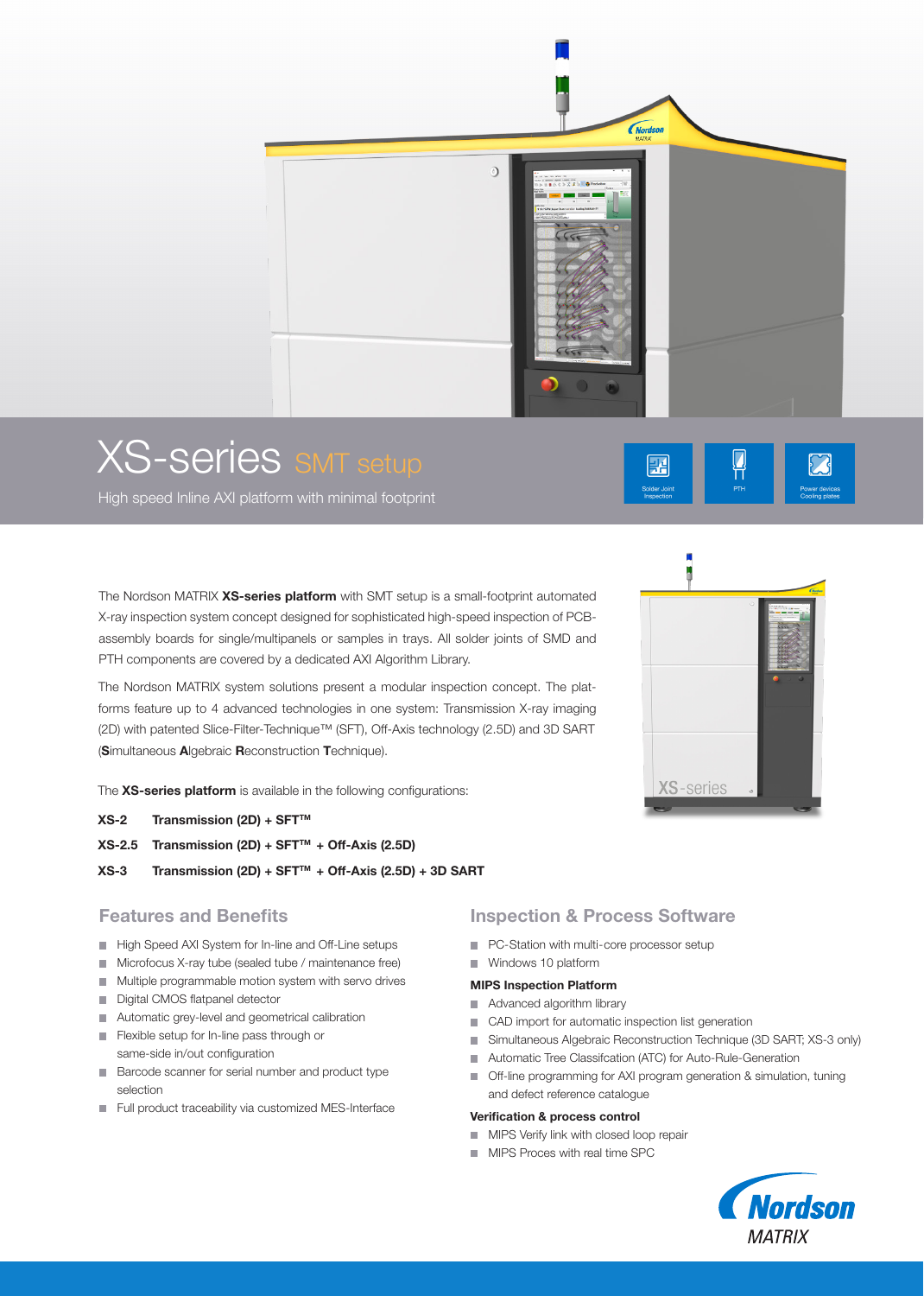

# XS-series SMT setup

High speed Inline AXI platform with minimal footprint

The Nordson MATRIX XS-series platform with SMT setup is a small-footprint automated X-ray inspection system concept designed for sophisticated high-speed inspection of PCBassembly boards for single/multipanels or samples in trays. All solder joints of SMD and PTH components are covered by a dedicated AXI Algorithm Library.

The Nordson MATRIX system solutions present a modular inspection concept. The platforms feature up to 4 advanced technologies in one system: Transmission X-ray imaging (2D) with patented Slice-Filter-Technique™ (SFT), Off-Axis technology (2.5D) and 3D SART (Simultaneous Algebraic Reconstruction Technique).

The XS-series platform is available in the following configurations:

- $XS-2$  Transmission (2D) + SFT<sup>TM</sup>
- $XS-2.5$  Transmission (2D) + SFT<sup>TM</sup> + Off-Axis (2.5D)
- $XS-3$  Transmission (2D) + SFT<sup>TM</sup> + Off-Axis (2.5D) + 3D SART

### Features and Benefits

- High Speed AXI System for In-line and Off-Line setups
- **Microfocus X-ray tube (sealed tube / maintenance free)**
- **Multiple programmable motion system with servo drives**
- Digital CMOS flatpanel detector
- Automatic grey-level and geometrical calibration
- Flexible setup for In-line pass through or same-side in/out configuration
- Barcode scanner for serial number and product type selection
- Full product traceability via customized MES-Interface

#### Inspection & Process Software

- **PC-Station with multi-core processor setup**
- Windows 10 platform

#### MIPS Inspection Platform

- Advanced algorithm library
- CAD import for automatic inspection list generation
- Simultaneous Algebraic Reconstruction Technique (3D SART; XS-3 only)
- **Automatic Tree Classifcation (ATC) for Auto-Rule-Generation**
- Off-line programming for AXI program generation & simulation, tuning and defect reference catalogue

#### Verification & process control

- **MIPS Verify link with closed loop repair**
- **MIPS Proces with real time SPC**